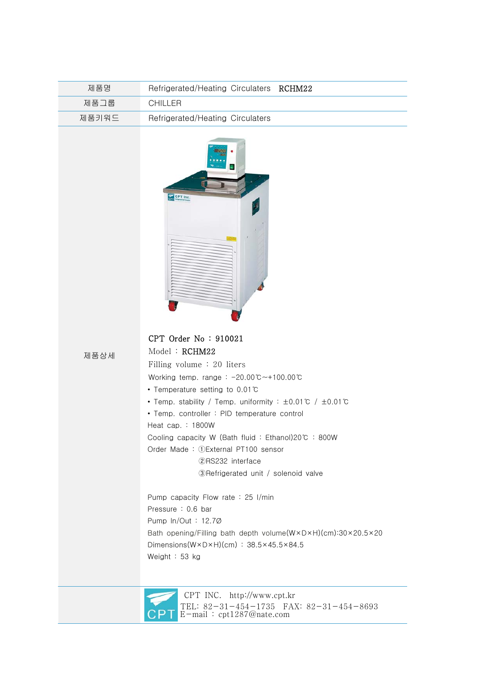| 제품명   | Refrigerated/Heating Circulaters RCHM22 |  |
|-------|-----------------------------------------|--|
| 제품그룹  | CHILLER                                 |  |
| 제품키워드 | Refrigerated/Heating Circulaters        |  |



제품상세

CPT Order No : 910021

Filling volume : 20 liters

Working temp. range : -20.00℃~+100.00℃

- Temperature setting to 0.01℃
- Temp. stability / Temp. uniformity : ±0.01℃ / ±0.01℃
- Temp. controller : PID temperature control

Heat cap. : 1800W

Model : RCHM22

Cooling capacity W (Bath fluid : Ethanol)20℃ : 800W

Order Made : ①External PT100 sensor

②RS232 interface

③Refrigerated unit / solenoid valve

 Pump capacity Flow rate : 25 I/min Pressure : 0.6 bar Pump ln/Out : 12.7Ø Bath opening/Filling bath depth volume(W×D×H)(cm):30×20.5×20 Dimensions(W×D×H)(cm) : 38.5×45.5×84.5 Weight : 53 kg



 CPT INC. http://www.cpt.kr TEL: 82-31-454-1735 FAX: 82-31-454-8693 E-mail : cpt1287@nate.com